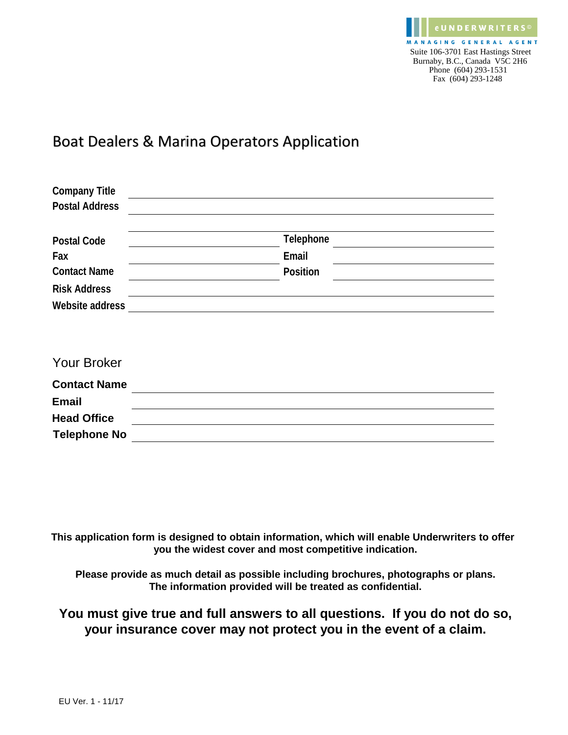

## Boat Dealers & Marina Operators Application

| <b>Company Title</b>  |           |  |
|-----------------------|-----------|--|
| <b>Postal Address</b> |           |  |
|                       |           |  |
| <b>Postal Code</b>    | Telephone |  |
| Fax                   | Email     |  |
| <b>Contact Name</b>   | Position  |  |
| <b>Risk Address</b>   |           |  |
| Website address       |           |  |
|                       |           |  |
|                       |           |  |
| <b>Your Broker</b>    |           |  |
| <b>Contact Name</b>   |           |  |
| <b>Email</b>          |           |  |
| <b>Head Office</b>    |           |  |
| <b>Telephone No</b>   |           |  |

**This application form is designed to obtain information, which will enable Underwriters to offer you the widest cover and most competitive indication.**

**Please provide as much detail as possible including brochures, photographs or plans. The information provided will be treated as confidential.**

### **You must give true and full answers to all questions. If you do not do so, your insurance cover may not protect you in the event of a claim.**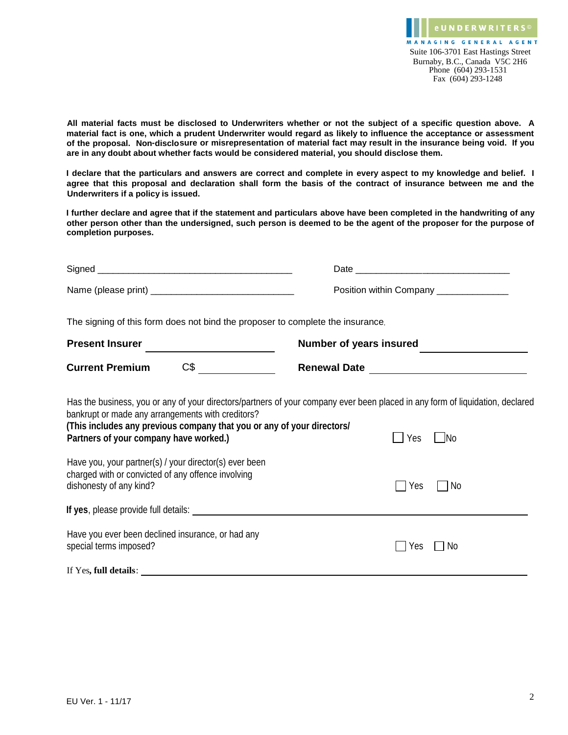**All material facts must be disclosed to Underwriters whether or not the subject of a specific question above. A material fact is one, which a prudent Underwriter would regard as likely to influence the acceptance or assessment of the proposal. Non-disclosure or misrepresentation of material fact may result in the insurance being void. If you are in any doubt about whether facts would be considered material, you should disclose them.**

**I declare that the particulars and answers are correct and complete in every aspect to my knowledge and belief. I agree that this proposal and declaration shall form the basis of the contract of insurance between me and the Underwriters if a policy is issued.**

**I further declare and agree that if the statement and particulars above have been completed in the handwriting of any other person other than the undersigned, such person is deemed to be the agent of the proposer for the purpose of completion purposes.**

|                                                                                                                                                                                                                                                                                                                  | Position within Company ______________                                                                                                                     |
|------------------------------------------------------------------------------------------------------------------------------------------------------------------------------------------------------------------------------------------------------------------------------------------------------------------|------------------------------------------------------------------------------------------------------------------------------------------------------------|
| The signing of this form does not bind the proposer to complete the insurance.                                                                                                                                                                                                                                   |                                                                                                                                                            |
| Present Insurer<br><br><u> </u>                                                                                                                                                                                                                                                                                  | Number of years insured                                                                                                                                    |
| CS<br><b>Current Premium</b>                                                                                                                                                                                                                                                                                     |                                                                                                                                                            |
| bankrupt or made any arrangements with creditors?<br>(This includes any previous company that you or any of your directors/<br>Partners of your company have worked.)<br>Have you, your partner(s) / your director(s) ever been<br>charged with or convicted of any offence involving<br>dishonesty of any kind? | Has the business, you or any of your directors/partners of your company ever been placed in any form of liquidation, declared<br>  No<br>Yes<br>Yes<br>-No |
|                                                                                                                                                                                                                                                                                                                  |                                                                                                                                                            |
| Have you ever been declined insurance, or had any<br>special terms imposed?                                                                                                                                                                                                                                      | No<br>Yes                                                                                                                                                  |
| If Yes, full details:                                                                                                                                                                                                                                                                                            |                                                                                                                                                            |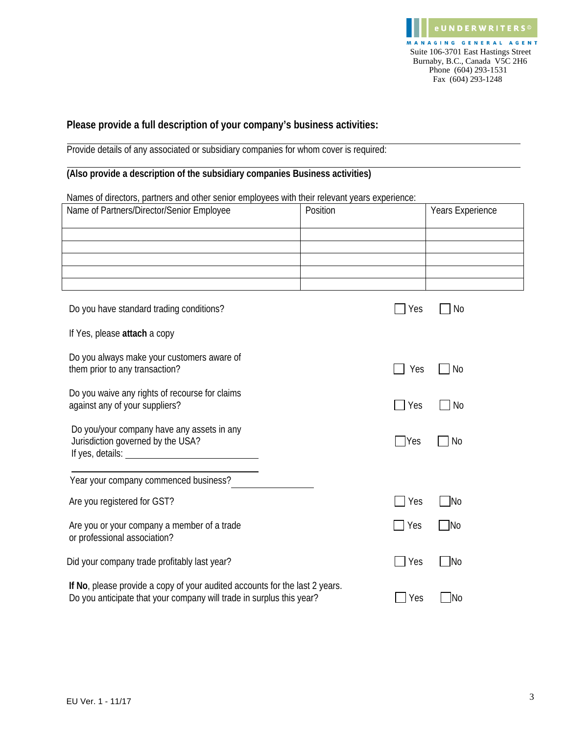#### **Please provide a full description of your company's business activities:**

Provide details of any associated or subsidiary companies for whom cover is required:

#### **(Also provide a description of the subsidiary companies Business activities)**

Names of directors, partners and other senior employees with their relevant years experience:

| Name of Partners/Director/Senior Employee                                                                                                           | Position      | Years Experience |
|-----------------------------------------------------------------------------------------------------------------------------------------------------|---------------|------------------|
|                                                                                                                                                     |               |                  |
|                                                                                                                                                     |               |                  |
|                                                                                                                                                     |               |                  |
|                                                                                                                                                     |               |                  |
| Do you have standard trading conditions?                                                                                                            | Yes           | No               |
| If Yes, please attach a copy                                                                                                                        |               |                  |
| Do you always make your customers aware of<br>them prior to any transaction?                                                                        | Yes           | No               |
| Do you waive any rights of recourse for claims<br>against any of your suppliers?                                                                    | Yes           | No               |
| Do you/your company have any assets in any<br>Jurisdiction governed by the USA?                                                                     | $\bigcap$ Yes | No               |
| Year your company commenced business?                                                                                                               |               |                  |
| Are you registered for GST?                                                                                                                         | Yes           | <b>No</b>        |
| Are you or your company a member of a trade<br>or professional association?                                                                         | Yes           | No               |
| Did your company trade profitably last year?                                                                                                        | Yes           | $\mathsf{N}$ o   |
| If No, please provide a copy of your audited accounts for the last 2 years.<br>Do you anticipate that your company will trade in surplus this year? | Yes           | <b>No</b>        |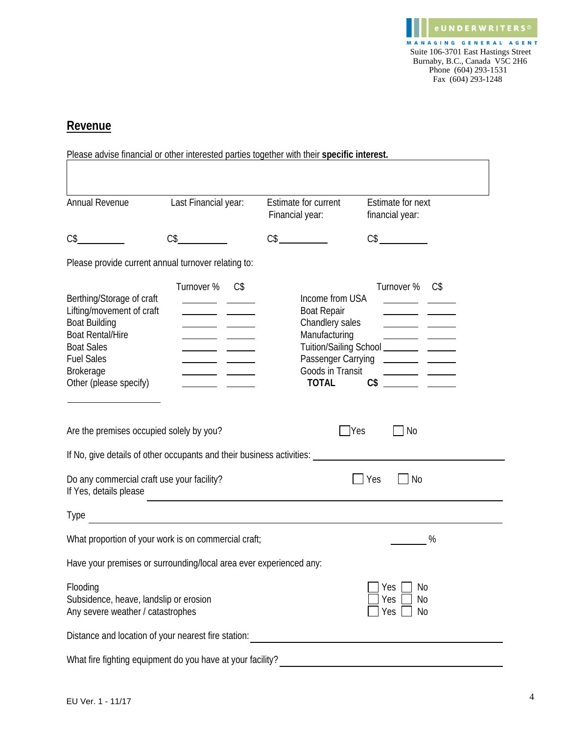

#### **Revenue**

|                                                                                                                                                                                                   |                      | Please advise financial or other interested parties together with their specific interest.                                          |                                                 |
|---------------------------------------------------------------------------------------------------------------------------------------------------------------------------------------------------|----------------------|-------------------------------------------------------------------------------------------------------------------------------------|-------------------------------------------------|
|                                                                                                                                                                                                   |                      |                                                                                                                                     |                                                 |
| Annual Revenue                                                                                                                                                                                    | Last Financial year: | Estimate for current<br>Financial year:                                                                                             | Estimate for next<br>financial year:            |
| C\$                                                                                                                                                                                               | $C\$                 | CS                                                                                                                                  | CS                                              |
| Please provide current annual turnover relating to:                                                                                                                                               |                      |                                                                                                                                     |                                                 |
| Berthing/Storage of craft<br>Lifting/movement of craft<br><b>Boat Building</b><br><b>Boat Rental/Hire</b><br><b>Boat Sales</b><br><b>Fuel Sales</b><br><b>Brokerage</b><br>Other (please specify) | Turnover %<br>$C\$   | Income from USA<br><b>Boat Repair</b><br>Chandlery sales<br>Manufacturing<br>Passenger Carrying<br>Goods in Transit<br><b>TOTAL</b> | Turnover % C\$<br>C <sub>5</sub>                |
| Are the premises occupied solely by you?                                                                                                                                                          |                      |                                                                                                                                     | <b>Yes</b><br>No                                |
|                                                                                                                                                                                                   |                      | If No, give details of other occupants and their business activities: ______________________________                                |                                                 |
| Do any commercial craft use your facility?<br>If Yes, details please                                                                                                                              |                      |                                                                                                                                     | No<br>Yes                                       |
| Type                                                                                                                                                                                              |                      |                                                                                                                                     |                                                 |
| What proportion of your work is on commercial craft;                                                                                                                                              |                      |                                                                                                                                     | %                                               |
| Have your premises or surrounding/local area ever experienced any:                                                                                                                                |                      |                                                                                                                                     |                                                 |
| Flooding<br>Subsidence, heave, landslip or erosion<br>Any severe weather / catastrophes                                                                                                           |                      |                                                                                                                                     | No<br>Yes<br>N <sub>0</sub><br>Yes<br>Yes<br>No |
| Distance and location of your nearest fire station:                                                                                                                                               |                      |                                                                                                                                     |                                                 |
| What fire fighting equipment do you have at your facility?                                                                                                                                        |                      |                                                                                                                                     |                                                 |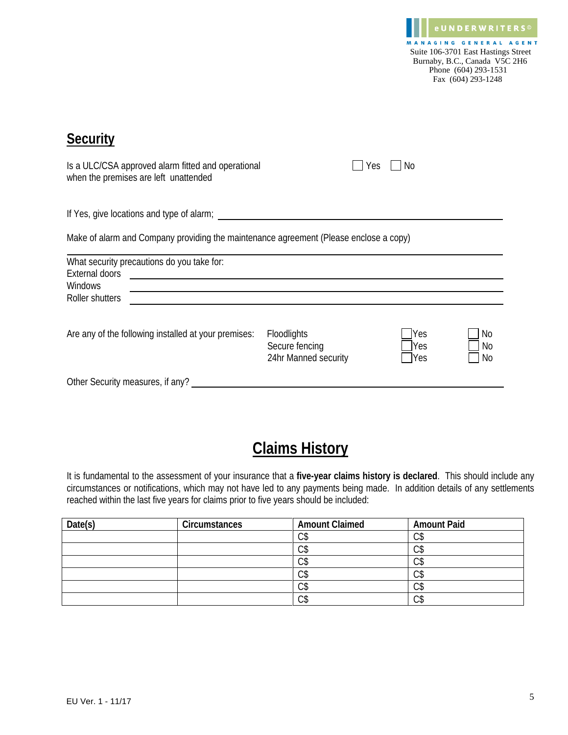**eUNDERWRITERS**<sup>©</sup> MANAGING GENERAL AGENT Suite 106-3701 East Hastings Street Burnaby, B.C., Canada V5C 2H6 Phone (604) 293-1531 Fax (604) 293-1248

| <b>Security</b>                                                                                   |                                                       |                          |                |
|---------------------------------------------------------------------------------------------------|-------------------------------------------------------|--------------------------|----------------|
| Is a ULC/CSA approved alarm fitted and operational<br>when the premises are left unattended       |                                                       | No<br>Yes                |                |
| If Yes, give locations and type of alarm;                                                         |                                                       |                          |                |
| Make of alarm and Company providing the maintenance agreement (Please enclose a copy)             |                                                       |                          |                |
| What security precautions do you take for:<br>External doors<br><b>Windows</b><br>Roller shutters |                                                       |                          |                |
|                                                                                                   |                                                       |                          |                |
| Are any of the following installed at your premises:                                              | Floodlights<br>Secure fencing<br>24hr Manned security | <b>Yes</b><br>Yes<br>Yes | No<br>No<br>No |
| Other Security measures, if any?                                                                  |                                                       |                          |                |

# **Claims History**

It is fundamental to the assessment of your insurance that a **five-year claims history is declared**. This should include any circumstances or notifications, which may not have led to any payments being made. In addition details of any settlements reached within the last five years for claims prior to five years should be included:

| Date(s) | Circumstances | <b>Amount Claimed</b> | <b>Amount Paid</b> |
|---------|---------------|-----------------------|--------------------|
|         |               | ⌒←<br>UI              | ⌒←<br>v            |
|         |               | ⌒←<br>ΟJ              | ⌒←<br>◡ง           |
|         |               | ⌒←<br>ιJ              | ⌒←<br>v            |
|         |               | ⌒←<br>ιJ              | ⌒←<br>v            |
|         |               | ⌒←<br>υ¢              | ⌒ሖ<br>∪J           |
|         |               | ⌒←<br>しウ              | ⌒ሖ<br>UJ           |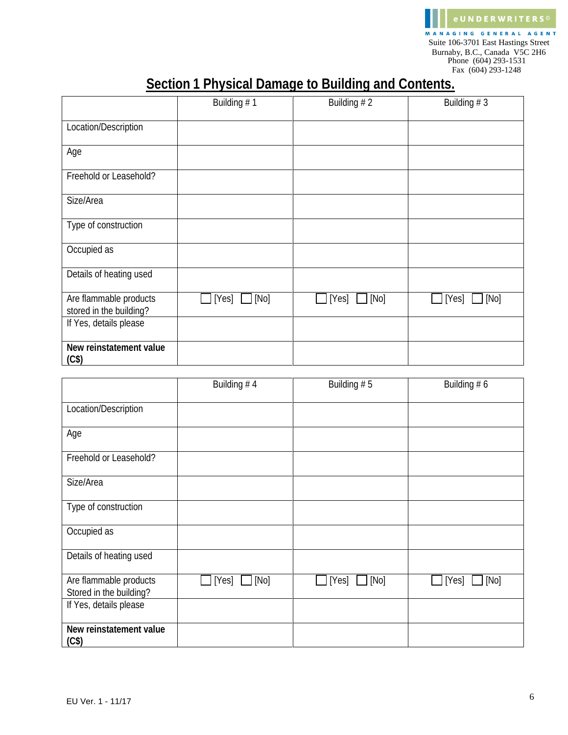

## **Section 1 Physical Damage to Building and Contents.**

|                                                   | Building #1   | Building $# 2$ | Building $# 3$ |
|---------------------------------------------------|---------------|----------------|----------------|
| Location/Description                              |               |                |                |
| Age                                               |               |                |                |
| Freehold or Leasehold?                            |               |                |                |
| Size/Area                                         |               |                |                |
| Type of construction                              |               |                |                |
| Occupied as                                       |               |                |                |
| Details of heating used                           |               |                |                |
| Are flammable products<br>stored in the building? | [Yes]<br>[No] | [No]<br>[Yes]  | [Yes]<br>[No]  |
| If Yes, details please                            |               |                |                |
| New reinstatement value<br>(C <sup>§</sup> )      |               |                |                |

|                                                   | Building #4  | Building $# 5$ | Building $# 6$ |
|---------------------------------------------------|--------------|----------------|----------------|
| Location/Description                              |              |                |                |
| Age                                               |              |                |                |
| Freehold or Leasehold?                            |              |                |                |
| Size/Area                                         |              |                |                |
| Type of construction                              |              |                |                |
| Occupied as                                       |              |                |                |
| Details of heating used                           |              |                |                |
| Are flammable products<br>Stored in the building? | [Yes]<br>Mo] | [No]<br>[Yes]  | [No]<br>[Yes]  |
| If Yes, details please                            |              |                |                |
| New reinstatement value<br>$(C$ \$)               |              |                |                |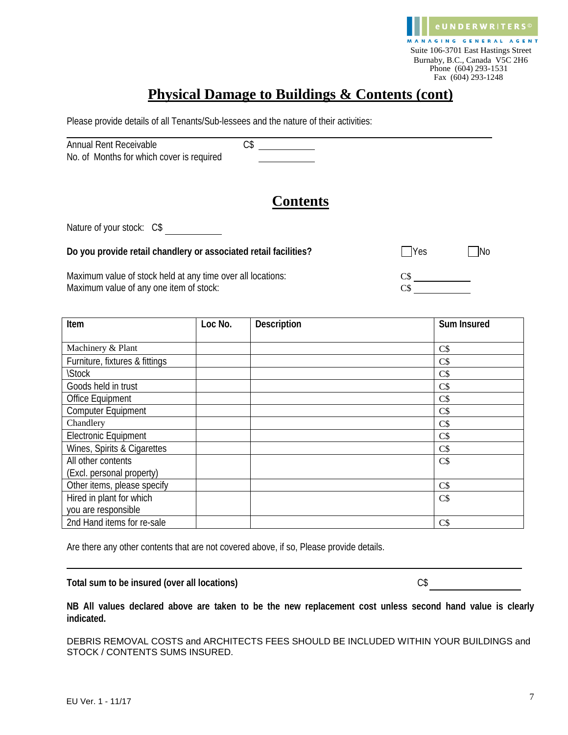

### **Physical Damage to Buildings & Contents (cont)**

Please provide details of all Tenants/Sub-lessees and the nature of their activities:

| Annual Rent Receivable                    |  |
|-------------------------------------------|--|
| No. of Months for which cover is required |  |

### **Contents**

Nature of your stock: C\$

**Do you provide retail chandlery or associated retail facilities?** <br>
No

Maximum value of stock held at any time over all locations: C\$ Maximum value of any one item of stock:

| Item                           | Loc No. | Description | Sum Insured |
|--------------------------------|---------|-------------|-------------|
|                                |         |             |             |
| Machinery & Plant              |         |             | C\$         |
| Furniture, fixtures & fittings |         |             | C\$         |
| <b>\Stock</b>                  |         |             | C\$         |
| Goods held in trust            |         |             | C\$         |
| Office Equipment               |         |             | C\$         |
| Computer Equipment             |         |             | C\$         |
| Chandlery                      |         |             | C\$         |
| <b>Electronic Equipment</b>    |         |             | C\$         |
| Wines, Spirits & Cigarettes    |         |             | $C\$        |
| All other contents             |         |             | C\$         |
| (Excl. personal property)      |         |             |             |
| Other items, please specify    |         |             | $C\$        |
| Hired in plant for which       |         |             | C\$         |
| you are responsible            |         |             |             |
| 2nd Hand items for re-sale     |         |             | $C\$        |

Are there any other contents that are not covered above, if so, Please provide details.

Total sum to be insured (over all locations) and contained the contact of  $\mathbb{C}\$ 

**NB All values declared above are taken to be the new replacement cost unless second hand value is clearly indicated.**

DEBRIS REMOVAL COSTS and ARCHITECTS FEES SHOULD BE INCLUDED WITHIN YOUR BUILDINGS and STOCK / CONTENTS SUMS INSURED.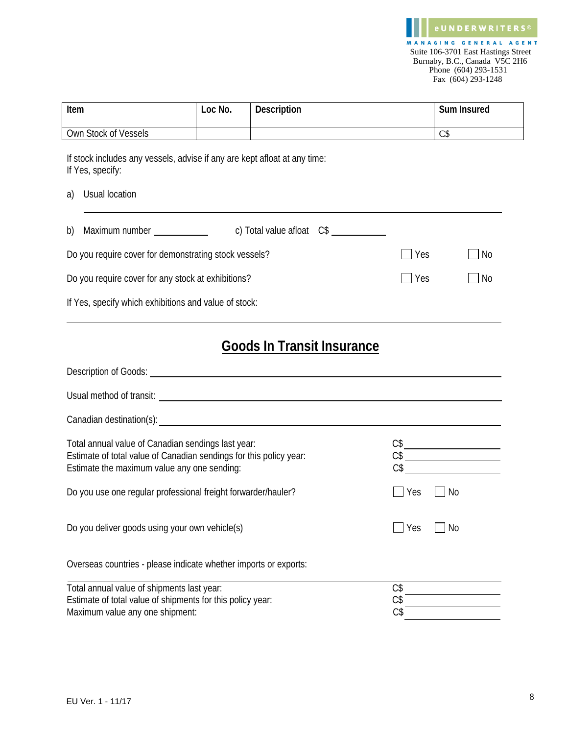| Item                                                                                                                                                                    | Loc No. | <b>Description</b>                                                                     |                   | Sum Insured                                                                                                                           |
|-------------------------------------------------------------------------------------------------------------------------------------------------------------------------|---------|----------------------------------------------------------------------------------------|-------------------|---------------------------------------------------------------------------------------------------------------------------------------|
| Own Stock of Vessels                                                                                                                                                    |         |                                                                                        |                   | C\$                                                                                                                                   |
| If stock includes any vessels, advise if any are kept afloat at any time:<br>If Yes, specify:<br>Usual location<br>a)                                                   |         |                                                                                        |                   |                                                                                                                                       |
| Maximum number Naximum number<br>b)                                                                                                                                     |         | c) Total value afloat C\$                                                              |                   |                                                                                                                                       |
| Do you require cover for demonstrating stock vessels?                                                                                                                   |         |                                                                                        | Yes               | No                                                                                                                                    |
| Do you require cover for any stock at exhibitions?                                                                                                                      |         |                                                                                        | Yes               | No                                                                                                                                    |
| If Yes, specify which exhibitions and value of stock:                                                                                                                   |         |                                                                                        |                   |                                                                                                                                       |
|                                                                                                                                                                         |         | <b>Goods In Transit Insurance</b><br>Usual method of transit: Usual method of transit: |                   |                                                                                                                                       |
|                                                                                                                                                                         |         |                                                                                        |                   |                                                                                                                                       |
| Total annual value of Canadian sendings last year:<br>Estimate of total value of Canadian sendings for this policy year:<br>Estimate the maximum value any one sending: |         |                                                                                        |                   | $\begin{array}{c}\nC\$ \underline{\hspace{1.5cm}} \\ C\$ \underline{\hspace{1.5cm}} \\ C\$ \underline{\hspace{1.5cm}} \\ \end{array}$ |
| Do you use one regular professional freight forwarder/hauler?                                                                                                           |         |                                                                                        | Yes               | $\n  7$ No                                                                                                                            |
| Do you deliver goods using your own vehicle(s)                                                                                                                          |         |                                                                                        | Yes               | <b>No</b>                                                                                                                             |
| Overseas countries - please indicate whether imports or exports:                                                                                                        |         |                                                                                        |                   |                                                                                                                                       |
| Total annual value of shipments last year:<br>Estimate of total value of shipments for this policy year:<br>Maximum value any one shipment:                             |         |                                                                                        | C\$<br>C\$<br>C\$ |                                                                                                                                       |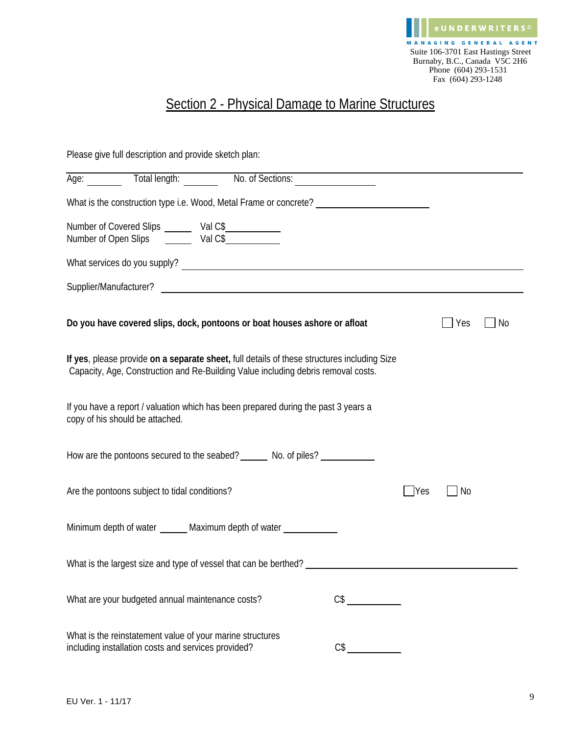

## Section 2 - Physical Damage to Marine Structures

Please give full description and provide sketch plan:

| Age: Total length: No. of Sections:                                                                                                                                              |                                                                                                                       |     |           |    |
|----------------------------------------------------------------------------------------------------------------------------------------------------------------------------------|-----------------------------------------------------------------------------------------------------------------------|-----|-----------|----|
| What is the construction type i.e. Wood, Metal Frame or concrete? _______________                                                                                                |                                                                                                                       |     |           |    |
| Number of Covered Slips<br>Number of Open Slips<br>Val C\$ Number of Open Slips<br>Val C\$ Number of Open Slips                                                                  |                                                                                                                       |     |           |    |
| What services do you supply?                                                                                                                                                     |                                                                                                                       |     |           |    |
| Supplier/Manufacturer?                                                                                                                                                           | <u> 1989 - Johann Harry Harry Harry Harry Harry Harry Harry Harry Harry Harry Harry Harry Harry Harry Harry Harry</u> |     |           |    |
| Do you have covered slips, dock, pontoons or boat houses ashore or afloat                                                                                                        |                                                                                                                       |     | Yes       | No |
| If yes, please provide on a separate sheet, full details of these structures including Size<br>Capacity, Age, Construction and Re-Building Value including debris removal costs. |                                                                                                                       |     |           |    |
| If you have a report / valuation which has been prepared during the past 3 years a<br>copy of his should be attached.                                                            |                                                                                                                       |     |           |    |
| How are the pontoons secured to the seabed? ________ No. of piles? _____________                                                                                                 |                                                                                                                       |     |           |    |
| Are the pontoons subject to tidal conditions?                                                                                                                                    |                                                                                                                       | Yes | <b>No</b> |    |
| Minimum depth of water _______ Maximum depth of water __                                                                                                                         |                                                                                                                       |     |           |    |
|                                                                                                                                                                                  |                                                                                                                       |     |           |    |
| What are your budgeted annual maintenance costs?                                                                                                                                 |                                                                                                                       |     |           |    |
| What is the reinstatement value of your marine structures<br>including installation costs and services provided?                                                                 | C\$                                                                                                                   |     |           |    |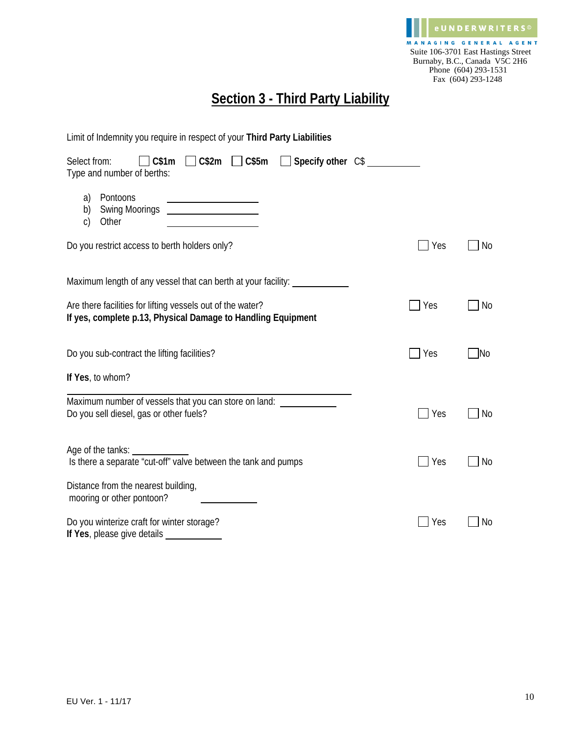

## **Section 3 - Third Party Liability**

| Limit of Indemnity you require in respect of your Third Party Liabilities                                                  |             |           |
|----------------------------------------------------------------------------------------------------------------------------|-------------|-----------|
| $\Box$ C\$2m $\Box$ C\$5m<br>Select from:<br>$\Box$ C\$1m<br>$\Box$ Specify other $CS$<br>Type and number of berths:       |             |           |
| Pontoons<br>a)<br><u> 1989 - Johann Barn, mars an t-Amerikaansk kommunister (</u><br>b)<br>Other<br>$\mathsf{C}$           |             |           |
| Do you restrict access to berth holders only?                                                                              | $\vert$ Yes | No        |
| Maximum length of any vessel that can berth at your facility: _______                                                      |             |           |
| Are there facilities for lifting vessels out of the water?<br>If yes, complete p.13, Physical Damage to Handling Equipment | Yes         | <b>No</b> |
| Do you sub-contract the lifting facilities?                                                                                | $\perp$ Yes | No        |
| If Yes, to whom?                                                                                                           |             |           |
| Maximum number of vessels that you can store on land:<br>Do you sell diesel, gas or other fuels?                           | Yes         | <b>No</b> |
| Age of the tanks:<br>Is there a separate "cut-off" valve between the tank and pumps                                        | Yes         | No        |
| Distance from the nearest building,<br>mooring or other pontoon?                                                           |             |           |
| Do you winterize craft for winter storage?<br>If Yes, please give details                                                  | Yes         | No        |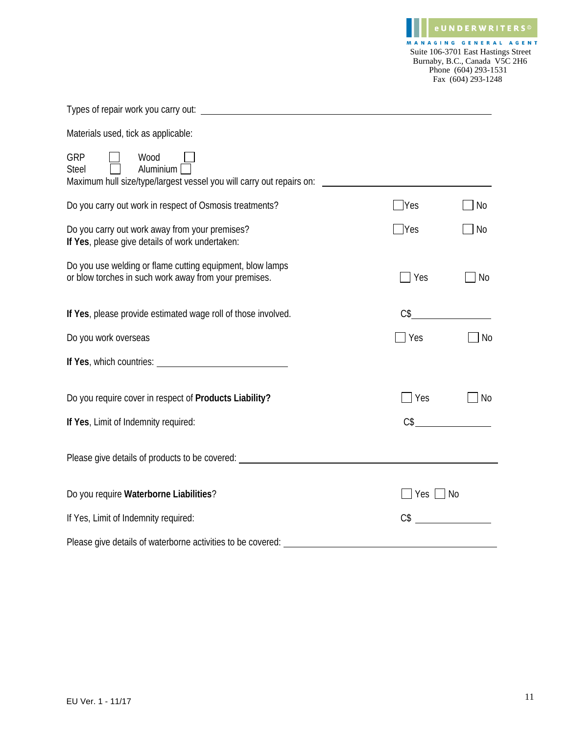e U N D E R W R I T E R S © MANAGING GENERAL AGENT Suite 106-3701 East Hastings Street Burnaby, B.C., Canada V5C 2H6 Phone (604) 293-1531 Fax (604) 293-1248

Types of repair work you carry out:

Materials used, tick as applicable:

| <b>GRP</b><br>Wood<br>Aluminium<br><b>Steel</b><br>Maximum hull size/type/largest vessel you will carry out repairs on: |                |                |
|-------------------------------------------------------------------------------------------------------------------------|----------------|----------------|
| Do you carry out work in respect of Osmosis treatments?                                                                 | Yes            | No             |
| Do you carry out work away from your premises?<br>If Yes, please give details of work undertaken:                       | Yes            | No             |
| Do you use welding or flame cutting equipment, blow lamps<br>or blow torches in such work away from your premises.      | Yes            | N <sub>o</sub> |
| If Yes, please provide estimated wage roll of those involved.                                                           | $C\$           |                |
| Do you work overseas                                                                                                    | Yes            | No             |
| If Yes, which countries: Manual Assembly Press, which countries:                                                        |                |                |
| Do you require cover in respect of Products Liability?                                                                  | Yes            | <b>No</b>      |
| If Yes, Limit of Indemnity required:                                                                                    | $C\$           |                |
| Please give details of products to be covered: _________________________________                                        |                |                |
| Do you require Waterborne Liabilities?                                                                                  | Yes I          | No             |
| If Yes, Limit of Indemnity required:                                                                                    | C <sub>3</sub> |                |
| Please give details of waterborne activities to be covered:                                                             |                |                |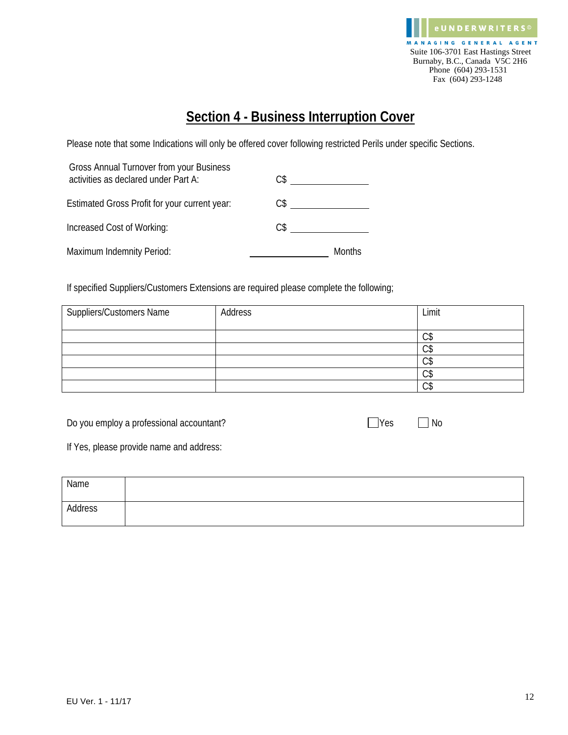

## **Section 4 - Business Interruption Cover**

Please note that some Indications will only be offered cover following restricted Perils under specific Sections.

| Gross Annual Turnover from your Business<br>activities as declared under Part A: | C\$ |        |
|----------------------------------------------------------------------------------|-----|--------|
| Estimated Gross Profit for your current year:                                    | C\$ |        |
| Increased Cost of Working:                                                       | C\$ |        |
| Maximum Indemnity Period:                                                        |     | Months |

If specified Suppliers/Customers Extensions are required please complete the following;

| <b>Suppliers/Customers Name</b> | Address | Limit        |
|---------------------------------|---------|--------------|
|                                 |         | $\cap$<br>◡ง |
|                                 |         | ⌒ሖ<br>υJ     |
|                                 |         | ⌒←<br>◡↵     |
|                                 |         | $\cap$<br>◡╜ |
|                                 |         | $\sim$<br>◡╜ |

Do you employ a professional accountant? <br>
No you employ a professional accountant?

| Yes |  |
|-----|--|
|     |  |

If Yes, please provide name and address:

| Name    |  |
|---------|--|
| Address |  |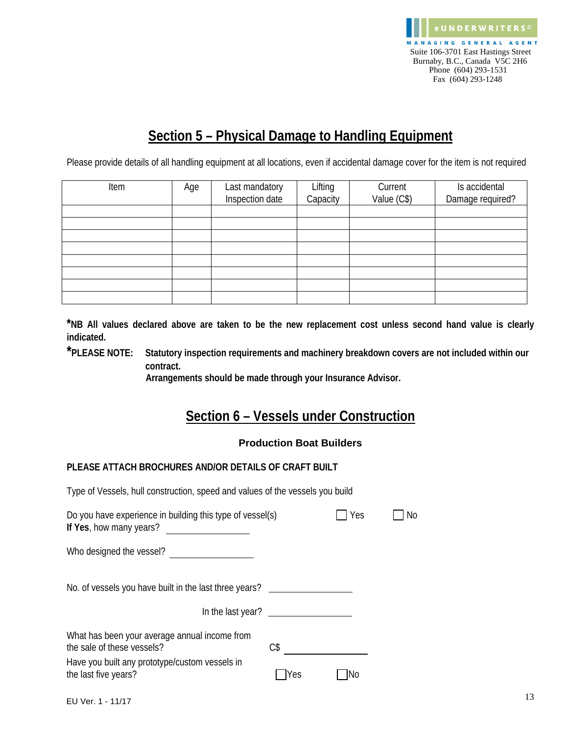

### **Section 5 – Physical Damage to Handling Equipment**

Please provide details of all handling equipment at all locations, even if accidental damage cover for the item is not required

| Item | Age | Last mandatory  | Lifting<br>Capacity | Current     | Is accidental    |
|------|-----|-----------------|---------------------|-------------|------------------|
|      |     | Inspection date |                     | Value (C\$) | Damage required? |
|      |     |                 |                     |             |                  |
|      |     |                 |                     |             |                  |
|      |     |                 |                     |             |                  |
|      |     |                 |                     |             |                  |
|      |     |                 |                     |             |                  |
|      |     |                 |                     |             |                  |
|      |     |                 |                     |             |                  |
|      |     |                 |                     |             |                  |

**\*NB All values declared above are taken to be the new replacement cost unless second hand value is clearly indicated.**

**\*PLEASE NOTE: Statutory inspection requirements and machinery breakdown covers are not included within our contract.**

 **Arrangements should be made through your Insurance Advisor.** 

### **Section 6 – Vessels under Construction**

#### **Production Boat Builders**

#### **PLEASE ATTACH BROCHURES AND/OR DETAILS OF CRAFT BUILT**

Type of Vessels, hull construction, speed and values of the vessels you build

| Do you have experience in building this type of vessel(s)<br>If Yes, how many years? |      | Yes | No |
|--------------------------------------------------------------------------------------|------|-----|----|
| Who designed the vessel?                                                             |      |     |    |
| No. of vessels you have built in the last three years?                               |      |     |    |
| In the last year?                                                                    |      |     |    |
| What has been your average annual income from<br>the sale of these vessels?          | $C\$ |     |    |
| Have you built any prototype/custom vessels in<br>the last five years?               | Yes  | Νo  |    |
|                                                                                      |      |     |    |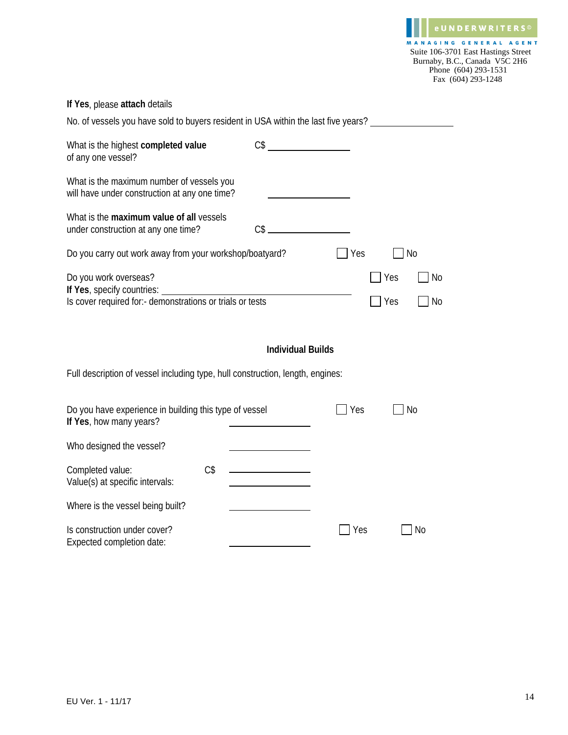#### **If Yes**, please **attach** details

| No. of vessels you have sold to buyers resident in USA within the last five years?         |          |     |    |
|--------------------------------------------------------------------------------------------|----------|-----|----|
| What is the highest completed value<br>of any one vessel?                                  | $CS$ $-$ |     |    |
| What is the maximum number of vessels you<br>will have under construction at any one time? |          |     |    |
| What is the maximum value of all vessels<br>under construction at any one time?            | ∩≮       |     |    |
| Do you carry out work away from your workshop/boatyard?                                    |          | Yes | No |

| Do you work overseas?                                      | $\overline{1}$ Yes   | l INo |
|------------------------------------------------------------|----------------------|-------|
| If Yes, specify countries:                                 |                      |       |
| Is cover required for: - demonstrations or trials or tests | $\Box$ Yes $\Box$ No |       |

#### **Individual Builds**

Full description of vessel including type, hull construction, length, engines:

| Do you have experience in building this type of vessel<br>If Yes, how many years? |     | Yes | No |
|-----------------------------------------------------------------------------------|-----|-----|----|
| Who designed the vessel?                                                          |     |     |    |
| Completed value:<br>Value(s) at specific intervals:                               | C\$ |     |    |
| Where is the vessel being built?                                                  |     |     |    |
| Is construction under cover?<br>Expected completion date:                         |     | Yes | No |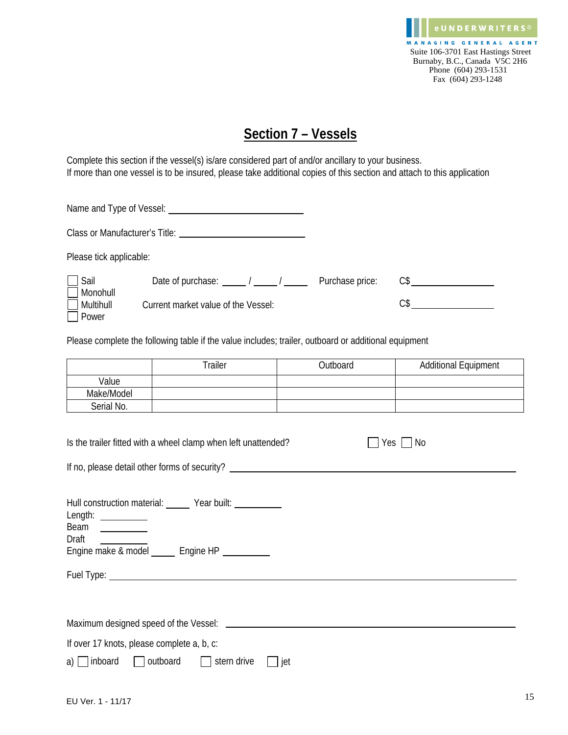

### **Section 7 – Vessels**

Complete this section if the vessel(s) is/are considered part of and/or ancillary to your business. If more than one vessel is to be insured, please take additional copies of this section and attach to this application

| Name and Type of Vessel: _________ |                                     |                 |     |
|------------------------------------|-------------------------------------|-----------------|-----|
|                                    |                                     |                 |     |
| Please tick applicable:            |                                     |                 |     |
| Sail<br>Monohull                   | Date of purchase: $\frac{1}{1}$     | Purchase price: | C\$ |
| Multihull<br>Power                 | Current market value of the Vessel: |                 | C\$ |

Please complete the following table if the value includes; trailer, outboard or additional equipment

|            | Trailer | Outboard | <b>Additional Equipment</b> |
|------------|---------|----------|-----------------------------|
| Value      |         |          |                             |
| Make/Model |         |          |                             |
| Serial No. |         |          |                             |

| Is the trailer fitted with a wheel clamp when left unattended? |             | Yes I<br>N <sub>0</sub> |  |  |  |  |
|----------------------------------------------------------------|-------------|-------------------------|--|--|--|--|
| If no, please detail other forms of security?                  |             |                         |  |  |  |  |
|                                                                |             |                         |  |  |  |  |
| Hull construction material:                                    | Year built: |                         |  |  |  |  |

| Length:<br>Beam<br>Draft<br>Engine make & model _______ Engine HP __________ |
|------------------------------------------------------------------------------|
|                                                                              |
|                                                                              |
|                                                                              |
|                                                                              |
| Maximum designed speed of the Vessel:                                        |
|                                                                              |
| If over 17 knots, please complete a, b, c:                                   |

a) inboard outboard stern drive jet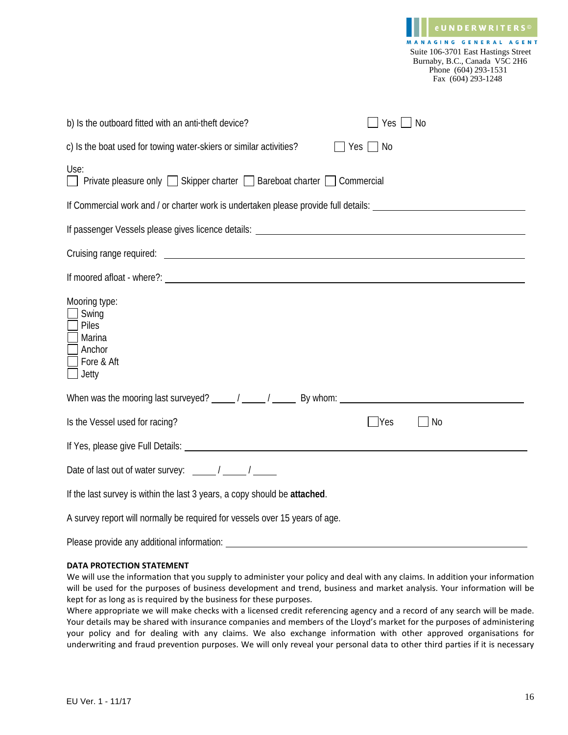|                                                                                                                                                                                                                                                                                                                                                                                         |               | Suite 106-3701 East Hastings Street<br>Burnaby, B.C., Canada V5C 2H6<br>Phone (604) 293-1531<br>Fax (604) 293-1248 |
|-----------------------------------------------------------------------------------------------------------------------------------------------------------------------------------------------------------------------------------------------------------------------------------------------------------------------------------------------------------------------------------------|---------------|--------------------------------------------------------------------------------------------------------------------|
| b) Is the outboard fitted with an anti-theft device?                                                                                                                                                                                                                                                                                                                                    | $Yes \Box No$ |                                                                                                                    |
| c) Is the boat used for towing water-skiers or similar activities?                                                                                                                                                                                                                                                                                                                      | TYes ΠNo      |                                                                                                                    |
| Use:<br>$\Box$ Private pleasure only $\Box$ Skipper charter $\Box$ Bareboat charter $\Box$ Commercial                                                                                                                                                                                                                                                                                   |               |                                                                                                                    |
| If Commercial work and / or charter work is undertaken please provide full details:                                                                                                                                                                                                                                                                                                     |               |                                                                                                                    |
| If passenger Vessels please gives licence details: National Community of the control of the control of the control of the control of the control of the control of the control of the control of the control of the control of                                                                                                                                                          |               |                                                                                                                    |
|                                                                                                                                                                                                                                                                                                                                                                                         |               |                                                                                                                    |
|                                                                                                                                                                                                                                                                                                                                                                                         |               |                                                                                                                    |
| Mooring type:<br>Swing<br>Piles<br>Marina<br>Anchor<br>Fore & Aft<br>Jetty                                                                                                                                                                                                                                                                                                              |               |                                                                                                                    |
| When was the mooring last surveyed? $\frac{1}{\frac{1}{1-\frac{1}{1-\frac{1}{1-\frac{1}{1-\frac{1}{1-\frac{1}{1-\frac{1}{1-\frac{1}{1-\frac{1}{1-\frac{1}{1-\frac{1}{1-\frac{1}{1-\frac{1}{1-\frac{1}{1-\frac{1}{1-\frac{1}{1-\frac{1}{1-\frac{1}{1-\frac{1}{1-\frac{1}{1-\frac{1}{1-\frac{1}{1-\frac{1}{1-\frac{1}{1-\frac{1}{1-\frac{1}{1-\frac{1}{1-\frac{1}{1-\frac{1}{1-\frac{1}{$ |               |                                                                                                                    |
| Is the Vessel used for racing?                                                                                                                                                                                                                                                                                                                                                          | Yes           | No                                                                                                                 |
|                                                                                                                                                                                                                                                                                                                                                                                         |               |                                                                                                                    |
| Date of last out of water survey: $\frac{1}{\sqrt{1-\frac{1}{1-\frac{1}{1-\cdots}}}}$ /                                                                                                                                                                                                                                                                                                 |               |                                                                                                                    |
| If the last survey is within the last 3 years, a copy should be attached.                                                                                                                                                                                                                                                                                                               |               |                                                                                                                    |
| A survey report will normally be required for vessels over 15 years of age.                                                                                                                                                                                                                                                                                                             |               |                                                                                                                    |
| Please provide any additional information:                                                                                                                                                                                                                                                                                                                                              |               |                                                                                                                    |

#### **DATA PROTECTION STATEMENT**

We will use the information that you supply to administer your policy and deal with any claims. In addition your information will be used for the purposes of business development and trend, business and market analysis. Your information will be kept for as long as is required by the business for these purposes.

Where appropriate we will make checks with a licensed credit referencing agency and a record of any search will be made. Your details may be shared with insurance companies and members of the Lloyd's market for the purposes of administering your policy and for dealing with any claims. We also exchange information with other approved organisations for underwriting and fraud prevention purposes. We will only reveal your personal data to other third parties if it is necessary

**eUNDERWRITERS** MANAGING GENERAL AGENT